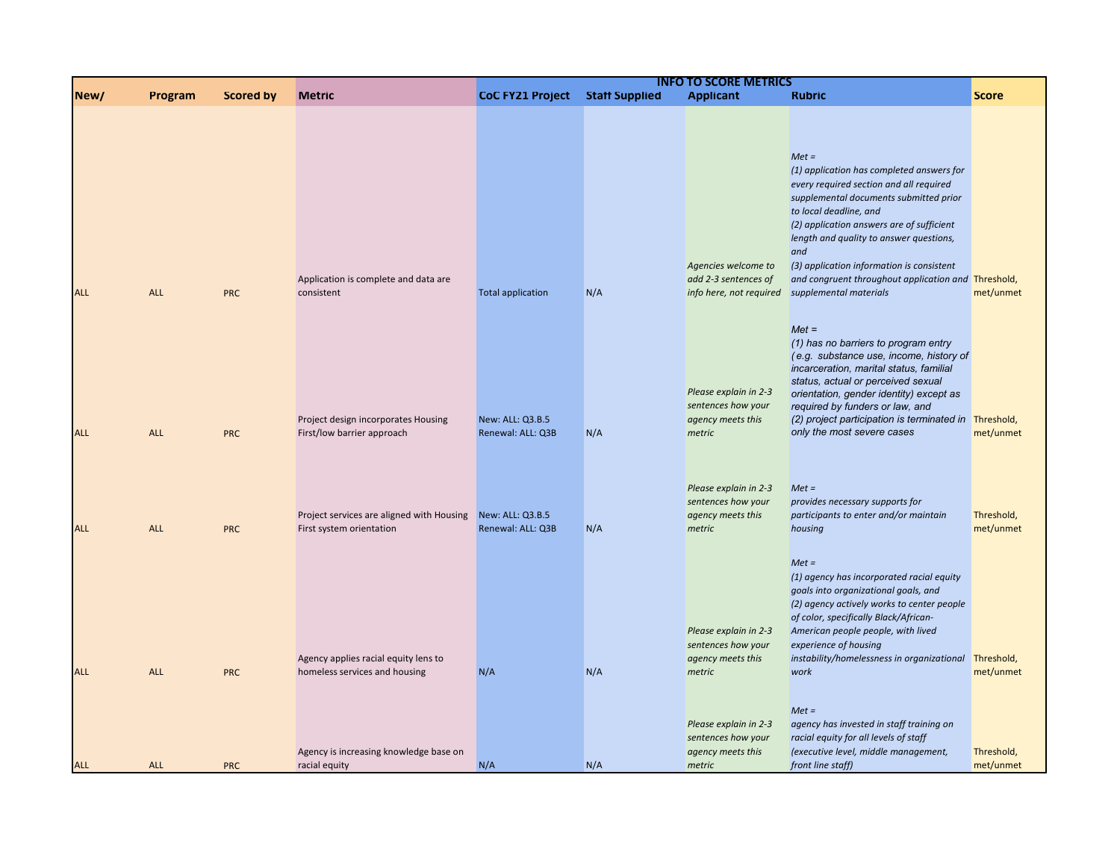|            |            |                  |                                                                       |                                       |                       | <b>INFO TO SCORE METRICS</b>                                                                        |                                                                                                                                                                                                                                                                                                                                                                 |                         |
|------------|------------|------------------|-----------------------------------------------------------------------|---------------------------------------|-----------------------|-----------------------------------------------------------------------------------------------------|-----------------------------------------------------------------------------------------------------------------------------------------------------------------------------------------------------------------------------------------------------------------------------------------------------------------------------------------------------------------|-------------------------|
| New/       | Program    | <b>Scored by</b> | <b>Metric</b>                                                         | <b>CoC FY21 Project</b>               | <b>Staff Supplied</b> | <b>Applicant</b>                                                                                    | <b>Rubric</b>                                                                                                                                                                                                                                                                                                                                                   | <b>Score</b>            |
|            |            |                  |                                                                       |                                       |                       | Agencies welcome to                                                                                 | $Met =$<br>(1) application has completed answers for<br>every required section and all required<br>supplemental documents submitted prior<br>to local deadline, and<br>(2) application answers are of sufficient<br>length and quality to answer questions,<br>and<br>(3) application information is consistent                                                 |                         |
| <b>ALL</b> | <b>ALL</b> | <b>PRC</b>       | Application is complete and data are<br>consistent                    | <b>Total application</b>              | N/A                   | add 2-3 sentences of<br>info here, not required                                                     | and congruent throughout application and Threshold,<br>supplemental materials                                                                                                                                                                                                                                                                                   | met/unmet               |
| <b>ALL</b> | <b>ALL</b> | <b>PRC</b>       | Project design incorporates Housing<br>First/low barrier approach     | New: ALL: Q3.B.5<br>Renewal: ALL: Q3B | N/A                   | Please explain in 2-3<br>sentences how your<br>agency meets this<br>metric                          | $Met =$<br>(1) has no barriers to program entry<br>(e.g. substance use, income, history of<br>incarceration, marital status, familial<br>status, actual or perceived sexual<br>orientation, gender identity) except as<br>required by funders or law, and<br>(2) project participation is terminated in Threshold,<br>only the most severe cases                | met/unmet               |
| <b>ALL</b> | <b>ALL</b> | <b>PRC</b>       | Project services are aligned with Housing<br>First system orientation | New: ALL: Q3.B.5<br>Renewal: ALL: Q3B | N/A                   | Please explain in 2-3<br>sentences how your<br>agency meets this<br>metric                          | $Met =$<br>provides necessary supports for<br>participants to enter and/or maintain<br>housing                                                                                                                                                                                                                                                                  | Threshold,<br>met/unmet |
| <b>ALL</b> | <b>ALL</b> | <b>PRC</b>       | Agency applies racial equity lens to<br>homeless services and housing | N/A                                   | N/A                   | Please explain in 2-3<br>sentences how your<br>agency meets this<br>metric<br>Please explain in 2-3 | $Met =$<br>(1) agency has incorporated racial equity<br>goals into organizational goals, and<br>(2) agency actively works to center people<br>of color, specifically Black/African-<br>American people people, with lived<br>experience of housing<br>instability/homelessness in organizational<br>work<br>$Met =$<br>agency has invested in staff training on | Threshold,<br>met/unmet |
|            |            |                  | Agency is increasing knowledge base on                                |                                       |                       | sentences how your<br>agency meets this                                                             | racial equity for all levels of staff<br>(executive level, middle management,                                                                                                                                                                                                                                                                                   | Threshold,              |
| <b>ALL</b> | <b>ALL</b> | <b>PRC</b>       | racial equity                                                         | N/A                                   | N/A                   | metric                                                                                              | front line staff)                                                                                                                                                                                                                                                                                                                                               | met/unmet               |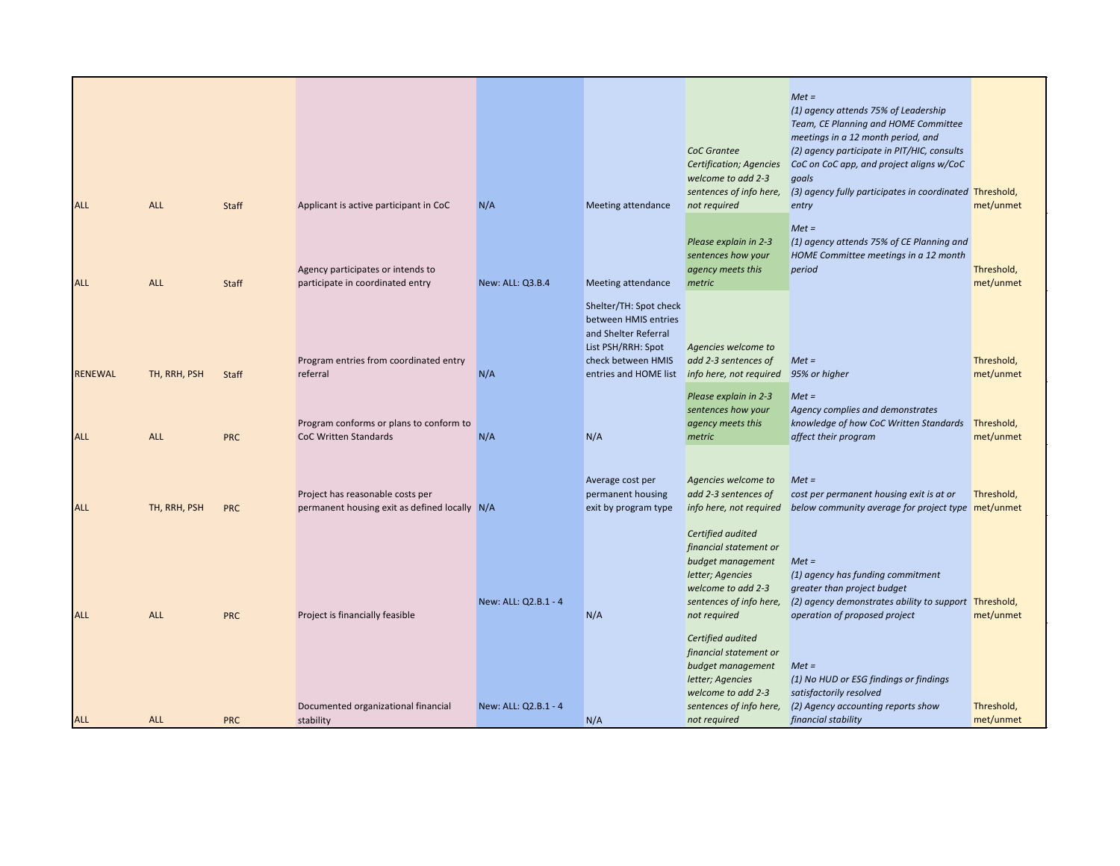| <b>ALL</b>     | <b>ALL</b>   | Staff      | Applicant is active participant in CoC                                            | N/A                  | Meeting attendance                                                                                                                          | <b>CoC</b> Grantee<br>Certification; Agencies<br>welcome to add 2-3<br>sentences of info here,<br>not required                        | $Met =$<br>(1) agency attends 75% of Leadership<br>Team, CE Planning and HOME Committee<br>meetings in a 12 month period, and<br>(2) agency participate in PIT/HIC, consults<br>CoC on CoC app, and project aligns w/CoC<br>goals<br>(3) agency fully participates in coordinated Threshold,<br>entry | met/unmet               |
|----------------|--------------|------------|-----------------------------------------------------------------------------------|----------------------|---------------------------------------------------------------------------------------------------------------------------------------------|---------------------------------------------------------------------------------------------------------------------------------------|-------------------------------------------------------------------------------------------------------------------------------------------------------------------------------------------------------------------------------------------------------------------------------------------------------|-------------------------|
| <b>ALL</b>     | <b>ALL</b>   | Staff      | Agency participates or intends to<br>participate in coordinated entry             | New: ALL: Q3.B.4     | Meeting attendance                                                                                                                          | Please explain in 2-3<br>sentences how your<br>agency meets this<br>metric                                                            | $Met =$<br>(1) agency attends 75% of CE Planning and<br>HOME Committee meetings in a 12 month<br>period                                                                                                                                                                                               | Threshold,<br>met/unmet |
| <b>RENEWAL</b> | TH, RRH, PSH | Staff      | Program entries from coordinated entry<br>referral                                | N/A                  | Shelter/TH: Spot check<br>between HMIS entries<br>and Shelter Referral<br>List PSH/RRH: Spot<br>check between HMIS<br>entries and HOME list | Agencies welcome to<br>add 2-3 sentences of<br>info here, not required 95% or higher                                                  | $Met =$                                                                                                                                                                                                                                                                                               | Threshold,<br>met/unmet |
| <b>ALL</b>     | <b>ALL</b>   | <b>PRC</b> | Program conforms or plans to conform to<br><b>CoC Written Standards</b>           | N/A                  | N/A                                                                                                                                         | Please explain in 2-3<br>sentences how your<br>agency meets this<br>metric                                                            | $Met =$<br>Agency complies and demonstrates<br>knowledge of how CoC Written Standards<br>affect their program                                                                                                                                                                                         | Threshold,<br>met/unmet |
| <b>ALL</b>     | TH, RRH, PSH | <b>PRC</b> | Project has reasonable costs per<br>permanent housing exit as defined locally N/A |                      | Average cost per<br>permanent housing<br>exit by program type                                                                               | Agencies welcome to<br>add 2-3 sentences of<br>info here, not required<br>Certified audited                                           | $Met =$<br>cost per permanent housing exit is at or<br>below community average for project type met/unmet                                                                                                                                                                                             | Threshold,              |
| <b>ALL</b>     | <b>ALL</b>   | <b>PRC</b> | Project is financially feasible                                                   | New: ALL: Q2.B.1 - 4 | N/A                                                                                                                                         | financial statement or<br>budget management<br>letter; Agencies<br>welcome to add 2-3<br>sentences of info here,<br>not required      | $Met =$<br>(1) agency has funding commitment<br>greater than project budget<br>(2) agency demonstrates ability to support Threshold,<br>operation of proposed project                                                                                                                                 | met/unmet               |
|                |              |            | Documented organizational financial                                               | New: ALL: Q2.B.1 - 4 |                                                                                                                                             | Certified audited<br>financial statement or<br>budget management<br>letter; Agencies<br>welcome to add 2-3<br>sentences of info here, | $Met =$<br>(1) No HUD or ESG findings or findings<br>satisfactorily resolved<br>(2) Agency accounting reports show                                                                                                                                                                                    | Threshold,              |
| <b>ALL</b>     | <b>ALL</b>   | <b>PRC</b> | stability                                                                         |                      | N/A                                                                                                                                         | not required                                                                                                                          | financial stability                                                                                                                                                                                                                                                                                   | met/unmet               |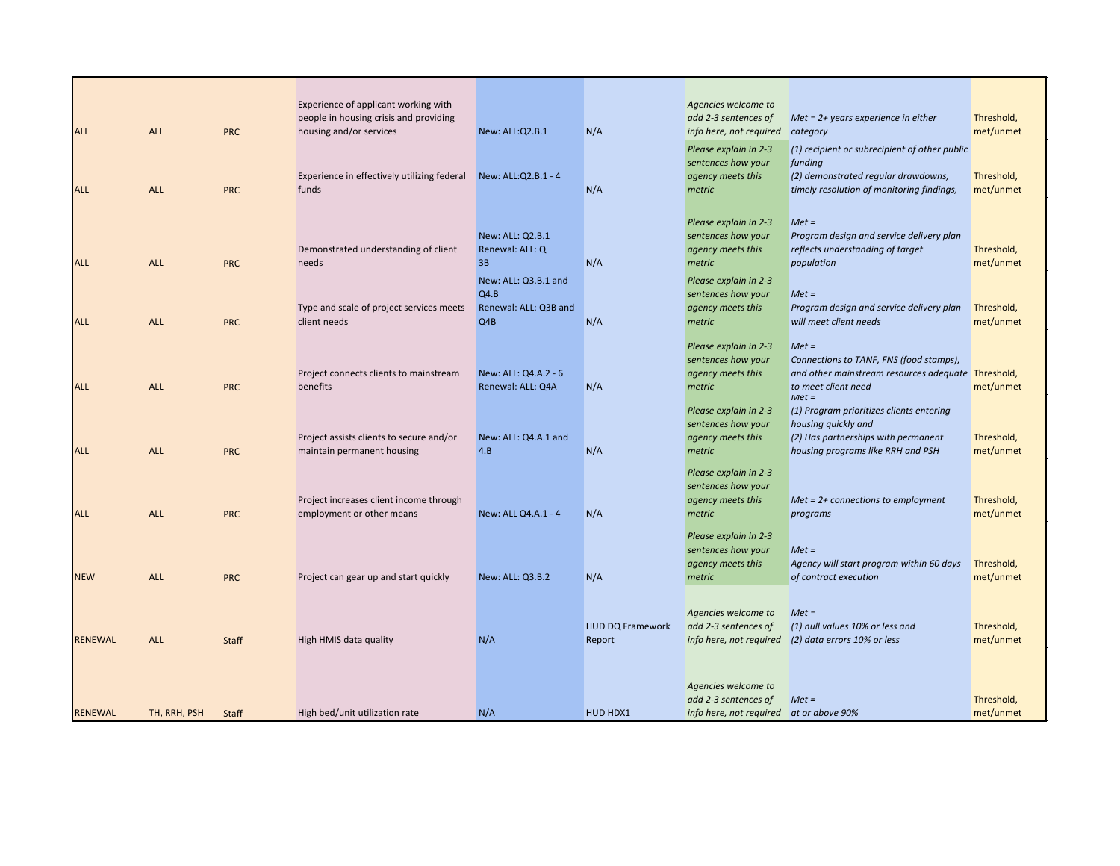|                |              |              | Experience of applicant working with                                   |                              |                         | Agencies welcome to                         |                                                                          |                         |
|----------------|--------------|--------------|------------------------------------------------------------------------|------------------------------|-------------------------|---------------------------------------------|--------------------------------------------------------------------------|-------------------------|
|                |              |              | people in housing crisis and providing                                 |                              |                         | add 2-3 sentences of                        | $Met = 2+ years$ experience in either                                    | Threshold,              |
| <b>ALL</b>     | <b>ALL</b>   | <b>PRC</b>   | housing and/or services                                                | New: ALL:Q2.B.1              | N/A                     | info here, not required                     | category                                                                 | met/unmet               |
|                |              |              |                                                                        |                              |                         | Please explain in 2-3                       | (1) recipient or subrecipient of other public                            |                         |
|                |              |              |                                                                        |                              |                         | sentences how your                          | funding                                                                  |                         |
|                |              |              | Experience in effectively utilizing federal                            | New: ALL:Q2.B.1 - 4          |                         | agency meets this                           | (2) demonstrated regular drawdowns,                                      | Threshold,              |
| <b>ALL</b>     | <b>ALL</b>   | <b>PRC</b>   | funds                                                                  |                              | N/A                     | metric                                      | timely resolution of monitoring findings,                                | met/unmet               |
|                |              |              |                                                                        |                              |                         |                                             |                                                                          |                         |
|                |              |              |                                                                        |                              |                         | Please explain in 2-3                       | $Met =$                                                                  |                         |
|                |              |              |                                                                        | New: ALL: Q2.B.1             |                         | sentences how your                          | Program design and service delivery plan                                 |                         |
|                |              |              | Demonstrated understanding of client                                   | Renewal: ALL: Q              |                         | agency meets this                           | reflects understanding of target                                         | Threshold,              |
| <b>ALL</b>     | <b>ALL</b>   | <b>PRC</b>   | needs                                                                  | 3B                           | N/A                     | metric                                      | population                                                               | met/unmet               |
|                |              |              |                                                                        |                              |                         |                                             |                                                                          |                         |
|                |              |              |                                                                        | New: ALL: Q3.B.1 and<br>Q4.B |                         | Please explain in 2-3<br>sentences how your | $Met =$                                                                  |                         |
|                |              |              | Type and scale of project services meets                               | Renewal: ALL: Q3B and        |                         | agency meets this                           | Program design and service delivery plan                                 | Threshold,              |
| <b>ALL</b>     | <b>ALL</b>   | <b>PRC</b>   | client needs                                                           | Q4B                          | N/A                     | metric                                      | will meet client needs                                                   | met/unmet               |
|                |              |              |                                                                        |                              |                         |                                             |                                                                          |                         |
|                |              |              |                                                                        |                              |                         | Please explain in 2-3                       | $Met =$                                                                  |                         |
|                |              |              |                                                                        |                              |                         | sentences how your                          | Connections to TANF, FNS (food stamps),                                  |                         |
|                |              |              | Project connects clients to mainstream                                 | New: ALL: Q4.A.2 - 6         |                         | agency meets this                           | and other mainstream resources adequate Threshold,                       |                         |
| <b>ALL</b>     | <b>ALL</b>   | <b>PRC</b>   | benefits                                                               | Renewal: ALL: Q4A            | N/A                     | metric                                      | to meet client need                                                      | met/unmet               |
|                |              |              |                                                                        |                              |                         |                                             | $Met =$                                                                  |                         |
|                |              |              |                                                                        |                              |                         | Please explain in 2-3                       | (1) Program prioritizes clients entering                                 |                         |
|                |              |              |                                                                        |                              |                         | sentences how your                          | housing quickly and                                                      |                         |
| <b>ALL</b>     | <b>ALL</b>   | <b>PRC</b>   | Project assists clients to secure and/or<br>maintain permanent housing | New: ALL: Q4.A.1 and<br>4.B  | N/A                     | agency meets this<br>metric                 | (2) Has partnerships with permanent<br>housing programs like RRH and PSH | Threshold,<br>met/unmet |
|                |              |              |                                                                        |                              |                         |                                             |                                                                          |                         |
|                |              |              |                                                                        |                              |                         | Please explain in 2-3                       |                                                                          |                         |
|                |              |              |                                                                        |                              |                         | sentences how your                          |                                                                          |                         |
|                |              |              | Project increases client income through                                |                              |                         | agency meets this                           | $Met = 2+ connections to employment$                                     | Threshold,              |
| <b>ALL</b>     | <b>ALL</b>   | <b>PRC</b>   | employment or other means                                              | New: ALL Q4.A.1 - 4          | N/A                     | metric                                      | programs                                                                 | met/unmet               |
|                |              |              |                                                                        |                              |                         | Please explain in 2-3                       |                                                                          |                         |
|                |              |              |                                                                        |                              |                         | sentences how your                          | $Met =$                                                                  |                         |
|                |              |              |                                                                        |                              |                         | agency meets this                           | Agency will start program within 60 days                                 | Threshold,              |
| <b>NEW</b>     | <b>ALL</b>   | <b>PRC</b>   | Project can gear up and start quickly                                  | New: ALL: Q3.B.2             | N/A                     | metric                                      | of contract execution                                                    | met/unmet               |
|                |              |              |                                                                        |                              |                         |                                             |                                                                          |                         |
|                |              |              |                                                                        |                              |                         |                                             |                                                                          |                         |
|                |              |              |                                                                        |                              |                         | Agencies welcome to                         | $Met =$                                                                  |                         |
|                |              |              |                                                                        |                              | <b>HUD DQ Framework</b> | add 2-3 sentences of                        | (1) null values 10% or less and                                          | Threshold,              |
| <b>RENEWAL</b> | <b>ALL</b>   | <b>Staff</b> | High HMIS data quality                                                 | N/A                          | Report                  | info here, not required                     | (2) data errors 10% or less                                              | met/unmet               |
|                |              |              |                                                                        |                              |                         |                                             |                                                                          |                         |
|                |              |              |                                                                        |                              |                         |                                             |                                                                          |                         |
|                |              |              |                                                                        |                              |                         | Agencies welcome to                         |                                                                          |                         |
|                |              |              |                                                                        |                              |                         | add 2-3 sentences of                        | $Met =$                                                                  | Threshold,              |
| <b>RENEWAL</b> | TH, RRH, PSH | Staff        | High bed/unit utilization rate                                         | N/A                          | HUD HDX1                | info here, not required at or above 90%     |                                                                          | met/unmet               |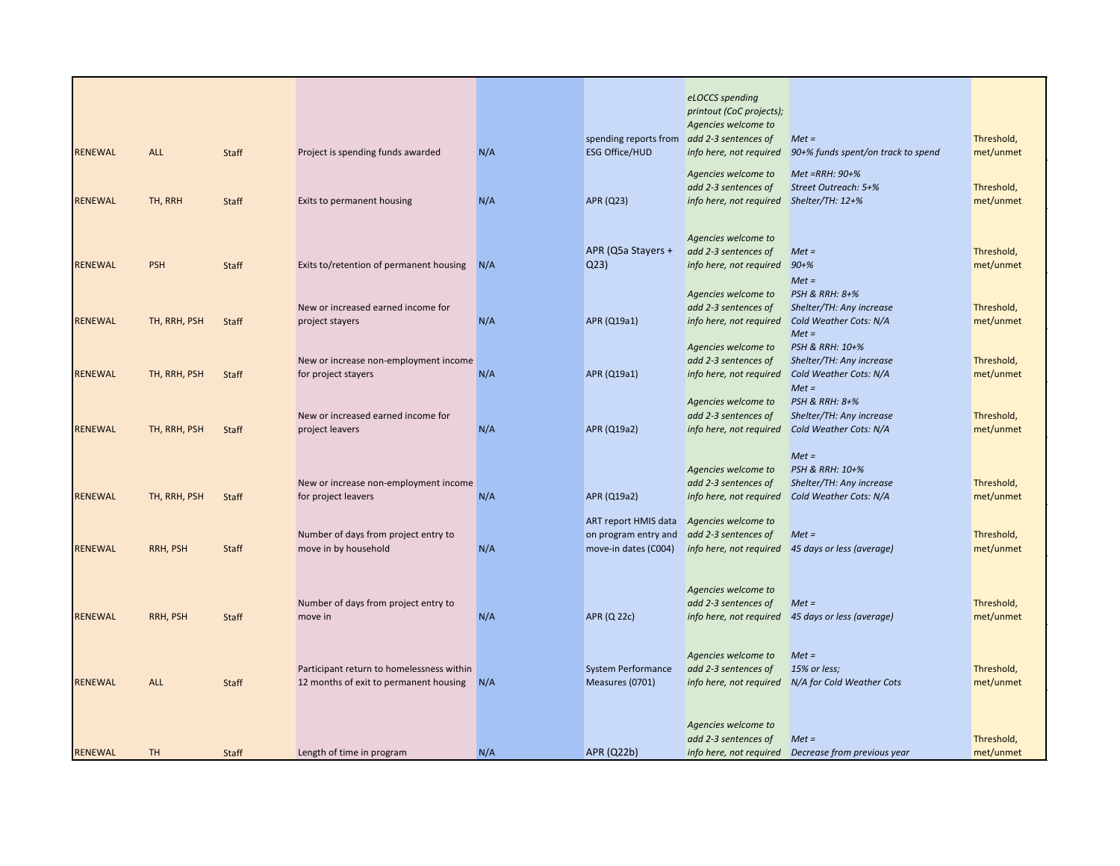|                |              |       |                                           |     |                                            | eLOCCS spending                             |                                                      |            |
|----------------|--------------|-------|-------------------------------------------|-----|--------------------------------------------|---------------------------------------------|------------------------------------------------------|------------|
|                |              |       |                                           |     |                                            | printout (CoC projects);                    |                                                      |            |
|                |              |       |                                           |     |                                            | Agencies welcome to                         |                                                      |            |
|                |              |       |                                           |     | spending reports from add 2-3 sentences of |                                             | $Met =$                                              | Threshold, |
| <b>RENEWAL</b> | <b>ALL</b>   | Staff | Project is spending funds awarded         | N/A | <b>ESG Office/HUD</b>                      | info here, not required                     | 90+% funds spent/on track to spend                   | met/unmet  |
|                |              |       |                                           |     |                                            | Agencies welcome to                         | Met =RRH: 90+%                                       |            |
|                |              |       |                                           |     |                                            | add 2-3 sentences of                        | Street Outreach: 5+%                                 | Threshold, |
| <b>RENEWAL</b> | TH, RRH      | Staff | Exits to permanent housing                | N/A | APR (Q23)                                  | info here, not required Shelter/TH: 12+%    |                                                      | met/unmet  |
|                |              |       |                                           |     |                                            |                                             |                                                      |            |
|                |              |       |                                           |     |                                            |                                             |                                                      |            |
|                |              |       |                                           |     | APR (Q5a Stayers +                         | Agencies welcome to<br>add 2-3 sentences of | $Met =$                                              | Threshold, |
| <b>RENEWAL</b> | <b>PSH</b>   | Staff | Exits to/retention of permanent housing   | N/A | Q <sub>23</sub>                            | info here, not required                     | $90 + \%$                                            | met/unmet  |
|                |              |       |                                           |     |                                            |                                             | $Met =$                                              |            |
|                |              |       |                                           |     |                                            | Agencies welcome to                         | <b>PSH &amp; RRH: 8+%</b>                            |            |
|                |              |       | New or increased earned income for        |     |                                            | add 2-3 sentences of                        | Shelter/TH: Any increase                             | Threshold, |
| <b>RENEWAL</b> | TH, RRH, PSH | Staff | project stayers                           | N/A | APR (Q19a1)                                | info here, not required                     | Cold Weather Cots: N/A                               | met/unmet  |
|                |              |       |                                           |     |                                            |                                             | $Met =$                                              |            |
|                |              |       |                                           |     |                                            | Agencies welcome to                         | PSH & RRH: 10+%                                      |            |
|                |              |       | New or increase non-employment income     |     |                                            | add 2-3 sentences of                        | Shelter/TH: Any increase                             | Threshold, |
| <b>RENEWAL</b> | TH, RRH, PSH | Staff | for project stayers                       | N/A | APR (Q19a1)                                |                                             | info here, not required Cold Weather Cots: N/A       | met/unmet  |
|                |              |       |                                           |     |                                            | Agencies welcome to                         | $Met =$<br><b>PSH &amp; RRH: 8+%</b>                 |            |
|                |              |       | New or increased earned income for        |     |                                            | add 2-3 sentences of                        | Shelter/TH: Any increase                             | Threshold, |
| <b>RENEWAL</b> | TH, RRH, PSH | Staff | project leavers                           | N/A | APR (Q19a2)                                |                                             | info here, not required Cold Weather Cots: N/A       | met/unmet  |
|                |              |       |                                           |     |                                            |                                             |                                                      |            |
|                |              |       |                                           |     |                                            |                                             | $Met =$                                              |            |
|                |              |       |                                           |     |                                            | Agencies welcome to                         | PSH & RRH: 10+%                                      |            |
|                |              |       | New or increase non-employment income     |     |                                            | add 2-3 sentences of                        | Shelter/TH: Any increase                             | Threshold, |
| <b>RENEWAL</b> | TH, RRH, PSH | Staff | for project leavers                       | N/A | APR (Q19a2)                                | info here, not required                     | Cold Weather Cots: N/A                               | met/unmet  |
|                |              |       |                                           |     | ART report HMIS data                       | Agencies welcome to                         |                                                      |            |
|                |              |       | Number of days from project entry to      |     | on program entry and                       | add 2-3 sentences of                        | $Met =$                                              | Threshold, |
| <b>RENEWAL</b> | RRH, PSH     | Staff | move in by household                      | N/A | move-in dates (C004)                       | info here, not required                     | 45 days or less (average)                            | met/unmet  |
|                |              |       |                                           |     |                                            |                                             |                                                      |            |
|                |              |       |                                           |     |                                            |                                             |                                                      |            |
|                |              |       |                                           |     |                                            | Agencies welcome to                         |                                                      |            |
|                |              |       | Number of days from project entry to      |     |                                            | add 2-3 sentences of                        | $Met =$                                              | Threshold, |
| <b>RENEWAL</b> | RRH, PSH     | Staff | move in                                   | N/A | APR (Q 22c)                                |                                             | info here, not required 45 days or less (average)    | met/unmet  |
|                |              |       |                                           |     |                                            |                                             |                                                      |            |
|                |              |       |                                           |     |                                            | Agencies welcome to                         | $Met =$                                              |            |
|                |              |       | Participant return to homelessness within |     | System Performance                         | add 2-3 sentences of                        | 15% or less;                                         | Threshold, |
| <b>RENEWAL</b> | <b>ALL</b>   | Staff | 12 months of exit to permanent housing    | N/A | Measures (0701)                            |                                             | info here, not required N/A for Cold Weather Cots    | met/unmet  |
|                |              |       |                                           |     |                                            |                                             |                                                      |            |
|                |              |       |                                           |     |                                            |                                             |                                                      |            |
|                |              |       |                                           |     |                                            | Agencies welcome to                         |                                                      |            |
|                | <b>TH</b>    |       |                                           | N/A | <b>APR (Q22b)</b>                          | add 2-3 sentences of                        | $Met =$                                              | Threshold, |
| RENEWAL        |              | Staff | Length of time in program                 |     |                                            |                                             | info here, not required  Decrease from previous year | met/unmet  |